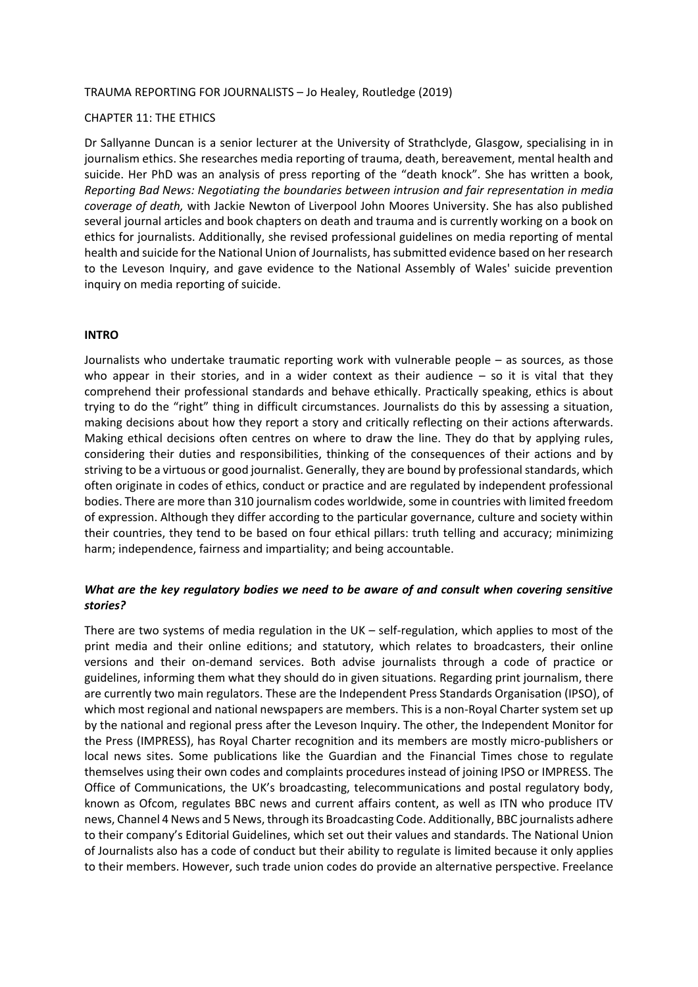### TRAUMA REPORTING FOR JOURNALISTS – Jo Healey, Routledge (2019)

### CHAPTER 11: THE ETHICS

Dr Sallyanne Duncan is a senior lecturer at the University of Strathclyde, Glasgow, specialising in in journalism ethics. She researches media reporting of trauma, death, bereavement, mental health and suicide. Her PhD was an analysis of press reporting of the "death knock". She has written a book, *Reporting Bad News: Negotiating the boundaries between intrusion and fair representation in media coverage of death,* with Jackie Newton of Liverpool John Moores University. She has also published several journal articles and book chapters on death and trauma and is currently working on a book on ethics for journalists. Additionally, she revised professional guidelines on media reporting of mental health and suicide for the National Union of Journalists, has submitted evidence based on her research to the Leveson Inquiry, and gave evidence to the National Assembly of Wales' suicide prevention inquiry on media reporting of suicide.

## **INTRO**

Journalists who undertake traumatic reporting work with vulnerable people – as sources, as those who appear in their stories, and in a wider context as their audience  $-$  so it is vital that they comprehend their professional standards and behave ethically. Practically speaking, ethics is about trying to do the "right" thing in difficult circumstances. Journalists do this by assessing a situation, making decisions about how they report a story and critically reflecting on their actions afterwards. Making ethical decisions often centres on where to draw the line. They do that by applying rules, considering their duties and responsibilities, thinking of the consequences of their actions and by striving to be a virtuous or good journalist. Generally, they are bound by professional standards, which often originate in codes of ethics, conduct or practice and are regulated by independent professional bodies. There are more than 310 journalism codes worldwide, some in countries with limited freedom of expression. Although they differ according to the particular governance, culture and society within their countries, they tend to be based on four ethical pillars: truth telling and accuracy; minimizing harm; independence, fairness and impartiality; and being accountable.

## *What are the key regulatory bodies we need to be aware of and consult when covering sensitive stories?*

There are two systems of media regulation in the UK – self-regulation, which applies to most of the print media and their online editions; and statutory, which relates to broadcasters, their online versions and their on-demand services. Both advise journalists through a code of practice or guidelines, informing them what they should do in given situations. Regarding print journalism, there are currently two main regulators. These are the Independent Press Standards Organisation (IPSO), of which most regional and national newspapers are members. This is a non-Royal Charter system set up by the national and regional press after the Leveson Inquiry. The other, the Independent Monitor for the Press (IMPRESS), has Royal Charter recognition and its members are mostly micro-publishers or local news sites. Some publications like the Guardian and the Financial Times chose to regulate themselves using their own codes and complaints procedures instead of joining IPSO or IMPRESS. The Office of Communications, the UK's broadcasting, telecommunications and postal regulatory body, known as Ofcom, regulates BBC news and current affairs content, as well as ITN who produce ITV news, Channel 4 News and 5 News, through its Broadcasting Code. Additionally, BBC journalists adhere to their company's Editorial Guidelines, which set out their values and standards. The National Union of Journalists also has a code of conduct but their ability to regulate is limited because it only applies to their members. However, such trade union codes do provide an alternative perspective. Freelance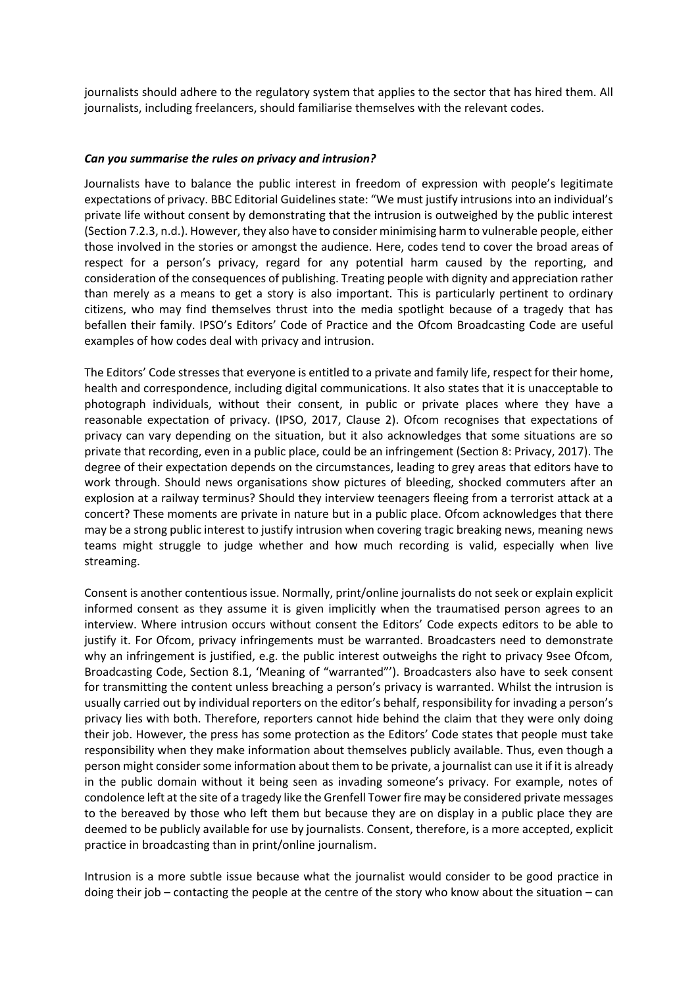journalists should adhere to the regulatory system that applies to the sector that has hired them. All journalists, including freelancers, should familiarise themselves with the relevant codes.

### *Can you summarise the rules on privacy and intrusion?*

Journalists have to balance the public interest in freedom of expression with people's legitimate expectations of privacy. BBC Editorial Guidelines state: "We must justify intrusions into an individual's private life without consent by demonstrating that the intrusion is outweighed by the public interest (Section 7.2.3, n.d.). However, they also have to consider minimising harm to vulnerable people, either those involved in the stories or amongst the audience. Here, codes tend to cover the broad areas of respect for a person's privacy, regard for any potential harm caused by the reporting, and consideration of the consequences of publishing. Treating people with dignity and appreciation rather than merely as a means to get a story is also important. This is particularly pertinent to ordinary citizens, who may find themselves thrust into the media spotlight because of a tragedy that has befallen their family. IPSO's Editors' Code of Practice and the Ofcom Broadcasting Code are useful examples of how codes deal with privacy and intrusion.

The Editors' Code stresses that everyone is entitled to a private and family life, respect for their home, health and correspondence, including digital communications. It also states that it is unacceptable to photograph individuals, without their consent, in public or private places where they have a reasonable expectation of privacy. (IPSO, 2017, Clause 2). Ofcom recognises that expectations of privacy can vary depending on the situation, but it also acknowledges that some situations are so private that recording, even in a public place, could be an infringement (Section 8: Privacy, 2017). The degree of their expectation depends on the circumstances, leading to grey areas that editors have to work through. Should news organisations show pictures of bleeding, shocked commuters after an explosion at a railway terminus? Should they interview teenagers fleeing from a terrorist attack at a concert? These moments are private in nature but in a public place. Ofcom acknowledges that there may be a strong public interest to justify intrusion when covering tragic breaking news, meaning news teams might struggle to judge whether and how much recording is valid, especially when live streaming.

Consent is another contentious issue. Normally, print/online journalists do not seek or explain explicit informed consent as they assume it is given implicitly when the traumatised person agrees to an interview. Where intrusion occurs without consent the Editors' Code expects editors to be able to justify it. For Ofcom, privacy infringements must be warranted. Broadcasters need to demonstrate why an infringement is justified, e.g. the public interest outweighs the right to privacy 9see Ofcom, Broadcasting Code, Section 8.1, 'Meaning of "warranted"'). Broadcasters also have to seek consent for transmitting the content unless breaching a person's privacy is warranted. Whilst the intrusion is usually carried out by individual reporters on the editor's behalf, responsibility for invading a person's privacy lies with both. Therefore, reporters cannot hide behind the claim that they were only doing their job. However, the press has some protection as the Editors' Code states that people must take responsibility when they make information about themselves publicly available. Thus, even though a person might consider some information about them to be private, a journalist can use it if it is already in the public domain without it being seen as invading someone's privacy. For example, notes of condolence left at the site of a tragedy like the Grenfell Tower fire may be considered private messages to the bereaved by those who left them but because they are on display in a public place they are deemed to be publicly available for use by journalists. Consent, therefore, is a more accepted, explicit practice in broadcasting than in print/online journalism.

Intrusion is a more subtle issue because what the journalist would consider to be good practice in doing their job – contacting the people at the centre of the story who know about the situation – can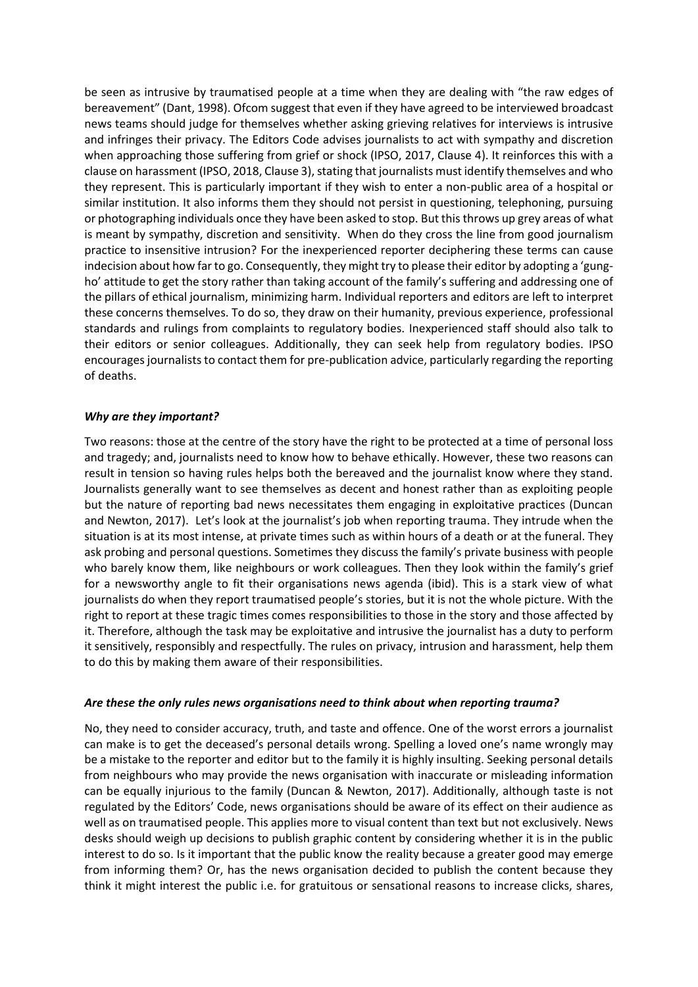be seen as intrusive by traumatised people at a time when they are dealing with "the raw edges of bereavement" (Dant, 1998). Ofcom suggest that even if they have agreed to be interviewed broadcast news teams should judge for themselves whether asking grieving relatives for interviews is intrusive and infringes their privacy. The Editors Code advises journalists to act with sympathy and discretion when approaching those suffering from grief or shock (IPSO, 2017, Clause 4). It reinforces this with a clause on harassment (IPSO, 2018, Clause 3), stating that journalists must identify themselves and who they represent. This is particularly important if they wish to enter a non-public area of a hospital or similar institution. It also informs them they should not persist in questioning, telephoning, pursuing or photographing individuals once they have been asked to stop. But this throws up grey areas of what is meant by sympathy, discretion and sensitivity. When do they cross the line from good journalism practice to insensitive intrusion? For the inexperienced reporter deciphering these terms can cause indecision about how far to go. Consequently, they might try to please their editor by adopting a 'gungho' attitude to get the story rather than taking account of the family's suffering and addressing one of the pillars of ethical journalism, minimizing harm. Individual reporters and editors are left to interpret these concerns themselves. To do so, they draw on their humanity, previous experience, professional standards and rulings from complaints to regulatory bodies. Inexperienced staff should also talk to their editors or senior colleagues. Additionally, they can seek help from regulatory bodies. IPSO encourages journalists to contact them for pre-publication advice, particularly regarding the reporting of deaths.

## *Why are they important?*

Two reasons: those at the centre of the story have the right to be protected at a time of personal loss and tragedy; and, journalists need to know how to behave ethically. However, these two reasons can result in tension so having rules helps both the bereaved and the journalist know where they stand. Journalists generally want to see themselves as decent and honest rather than as exploiting people but the nature of reporting bad news necessitates them engaging in exploitative practices (Duncan and Newton, 2017). Let's look at the journalist's job when reporting trauma. They intrude when the situation is at its most intense, at private times such as within hours of a death or at the funeral. They ask probing and personal questions. Sometimes they discuss the family's private business with people who barely know them, like neighbours or work colleagues. Then they look within the family's grief for a newsworthy angle to fit their organisations news agenda (ibid). This is a stark view of what journalists do when they report traumatised people's stories, but it is not the whole picture. With the right to report at these tragic times comes responsibilities to those in the story and those affected by it. Therefore, although the task may be exploitative and intrusive the journalist has a duty to perform it sensitively, responsibly and respectfully. The rules on privacy, intrusion and harassment, help them to do this by making them aware of their responsibilities.

#### *Are these the only rules news organisations need to think about when reporting trauma?*

No, they need to consider accuracy, truth, and taste and offence. One of the worst errors a journalist can make is to get the deceased's personal details wrong. Spelling a loved one's name wrongly may be a mistake to the reporter and editor but to the family it is highly insulting. Seeking personal details from neighbours who may provide the news organisation with inaccurate or misleading information can be equally injurious to the family (Duncan & Newton, 2017). Additionally, although taste is not regulated by the Editors' Code, news organisations should be aware of its effect on their audience as well as on traumatised people. This applies more to visual content than text but not exclusively. News desks should weigh up decisions to publish graphic content by considering whether it is in the public interest to do so. Is it important that the public know the reality because a greater good may emerge from informing them? Or, has the news organisation decided to publish the content because they think it might interest the public i.e. for gratuitous or sensational reasons to increase clicks, shares,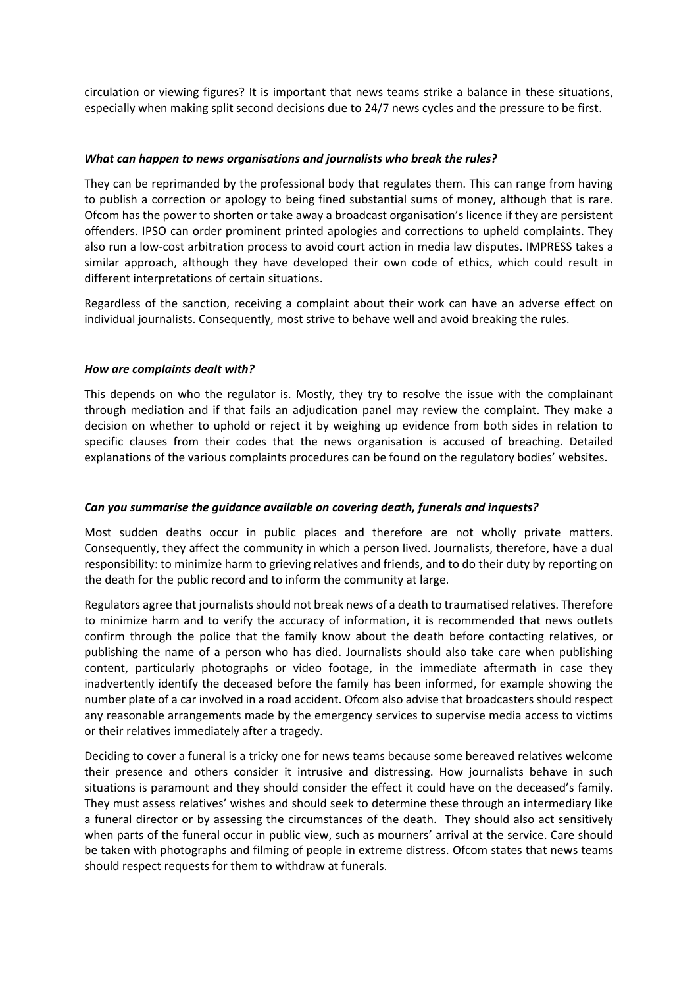circulation or viewing figures? It is important that news teams strike a balance in these situations, especially when making split second decisions due to 24/7 news cycles and the pressure to be first.

### *What can happen to news organisations and journalists who break the rules?*

They can be reprimanded by the professional body that regulates them. This can range from having to publish a correction or apology to being fined substantial sums of money, although that is rare. Ofcom has the power to shorten or take away a broadcast organisation's licence if they are persistent offenders. IPSO can order prominent printed apologies and corrections to upheld complaints. They also run a low-cost arbitration process to avoid court action in media law disputes. IMPRESS takes a similar approach, although they have developed their own code of ethics, which could result in different interpretations of certain situations.

Regardless of the sanction, receiving a complaint about their work can have an adverse effect on individual journalists. Consequently, most strive to behave well and avoid breaking the rules.

### *How are complaints dealt with?*

This depends on who the regulator is. Mostly, they try to resolve the issue with the complainant through mediation and if that fails an adjudication panel may review the complaint. They make a decision on whether to uphold or reject it by weighing up evidence from both sides in relation to specific clauses from their codes that the news organisation is accused of breaching. Detailed explanations of the various complaints procedures can be found on the regulatory bodies' websites.

#### *Can you summarise the guidance available on covering death, funerals and inquests?*

Most sudden deaths occur in public places and therefore are not wholly private matters. Consequently, they affect the community in which a person lived. Journalists, therefore, have a dual responsibility: to minimize harm to grieving relatives and friends, and to do their duty by reporting on the death for the public record and to inform the community at large.

Regulators agree that journalists should not break news of a death to traumatised relatives. Therefore to minimize harm and to verify the accuracy of information, it is recommended that news outlets confirm through the police that the family know about the death before contacting relatives, or publishing the name of a person who has died. Journalists should also take care when publishing content, particularly photographs or video footage, in the immediate aftermath in case they inadvertently identify the deceased before the family has been informed, for example showing the number plate of a car involved in a road accident. Ofcom also advise that broadcasters should respect any reasonable arrangements made by the emergency services to supervise media access to victims or their relatives immediately after a tragedy.

Deciding to cover a funeral is a tricky one for news teams because some bereaved relatives welcome their presence and others consider it intrusive and distressing. How journalists behave in such situations is paramount and they should consider the effect it could have on the deceased's family. They must assess relatives' wishes and should seek to determine these through an intermediary like a funeral director or by assessing the circumstances of the death. They should also act sensitively when parts of the funeral occur in public view, such as mourners' arrival at the service. Care should be taken with photographs and filming of people in extreme distress. Ofcom states that news teams should respect requests for them to withdraw at funerals.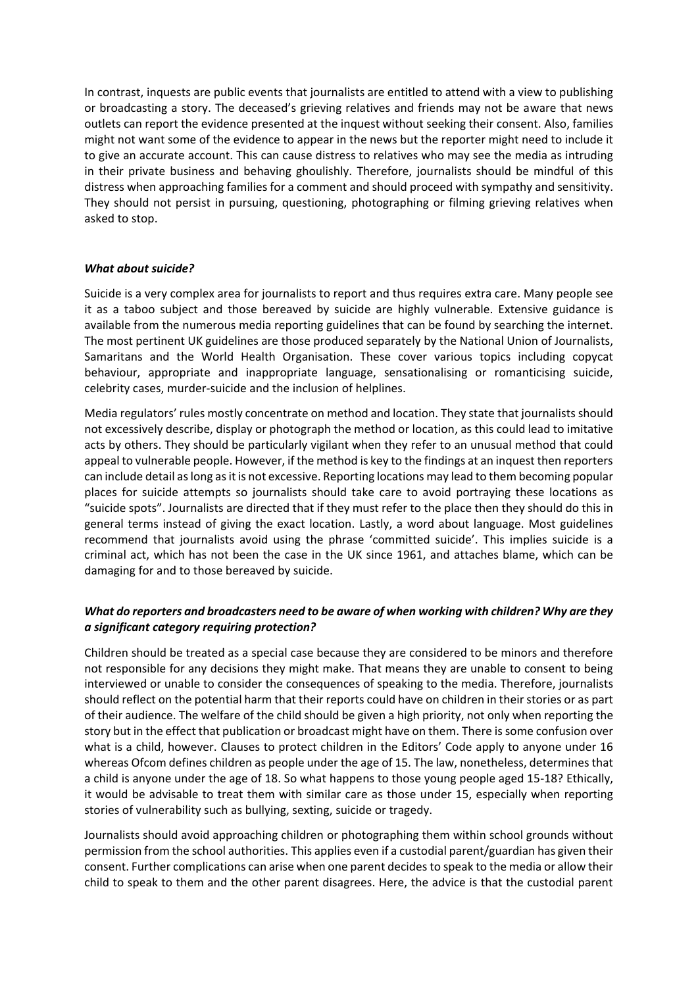In contrast, inquests are public events that journalists are entitled to attend with a view to publishing or broadcasting a story. The deceased's grieving relatives and friends may not be aware that news outlets can report the evidence presented at the inquest without seeking their consent. Also, families might not want some of the evidence to appear in the news but the reporter might need to include it to give an accurate account. This can cause distress to relatives who may see the media as intruding in their private business and behaving ghoulishly. Therefore, journalists should be mindful of this distress when approaching families for a comment and should proceed with sympathy and sensitivity. They should not persist in pursuing, questioning, photographing or filming grieving relatives when asked to stop.

## *What about suicide?*

Suicide is a very complex area for journalists to report and thus requires extra care. Many people see it as a taboo subject and those bereaved by suicide are highly vulnerable. Extensive guidance is available from the numerous media reporting guidelines that can be found by searching the internet. The most pertinent UK guidelines are those produced separately by the National Union of Journalists, Samaritans and the World Health Organisation. These cover various topics including copycat behaviour, appropriate and inappropriate language, sensationalising or romanticising suicide, celebrity cases, murder-suicide and the inclusion of helplines.

Media regulators' rules mostly concentrate on method and location. They state that journalists should not excessively describe, display or photograph the method or location, as this could lead to imitative acts by others. They should be particularly vigilant when they refer to an unusual method that could appeal to vulnerable people. However, if the method is key to the findings at an inquest then reporters can include detail as long as it is not excessive. Reporting locations may lead to them becoming popular places for suicide attempts so journalists should take care to avoid portraying these locations as "suicide spots". Journalists are directed that if they must refer to the place then they should do this in general terms instead of giving the exact location. Lastly, a word about language. Most guidelines recommend that journalists avoid using the phrase 'committed suicide'. This implies suicide is a criminal act, which has not been the case in the UK since 1961, and attaches blame, which can be damaging for and to those bereaved by suicide.

# *What do reporters and broadcasters need to be aware of when working with children? Why are they a significant category requiring protection?*

Children should be treated as a special case because they are considered to be minors and therefore not responsible for any decisions they might make. That means they are unable to consent to being interviewed or unable to consider the consequences of speaking to the media. Therefore, journalists should reflect on the potential harm that their reports could have on children in their stories or as part of their audience. The welfare of the child should be given a high priority, not only when reporting the story but in the effect that publication or broadcast might have on them. There is some confusion over what is a child, however. Clauses to protect children in the Editors' Code apply to anyone under 16 whereas Ofcom defines children as people under the age of 15. The law, nonetheless, determines that a child is anyone under the age of 18. So what happens to those young people aged 15-18? Ethically, it would be advisable to treat them with similar care as those under 15, especially when reporting stories of vulnerability such as bullying, sexting, suicide or tragedy.

Journalists should avoid approaching children or photographing them within school grounds without permission from the school authorities. This applies even if a custodial parent/guardian has given their consent. Further complications can arise when one parent decides to speak to the media or allow their child to speak to them and the other parent disagrees. Here, the advice is that the custodial parent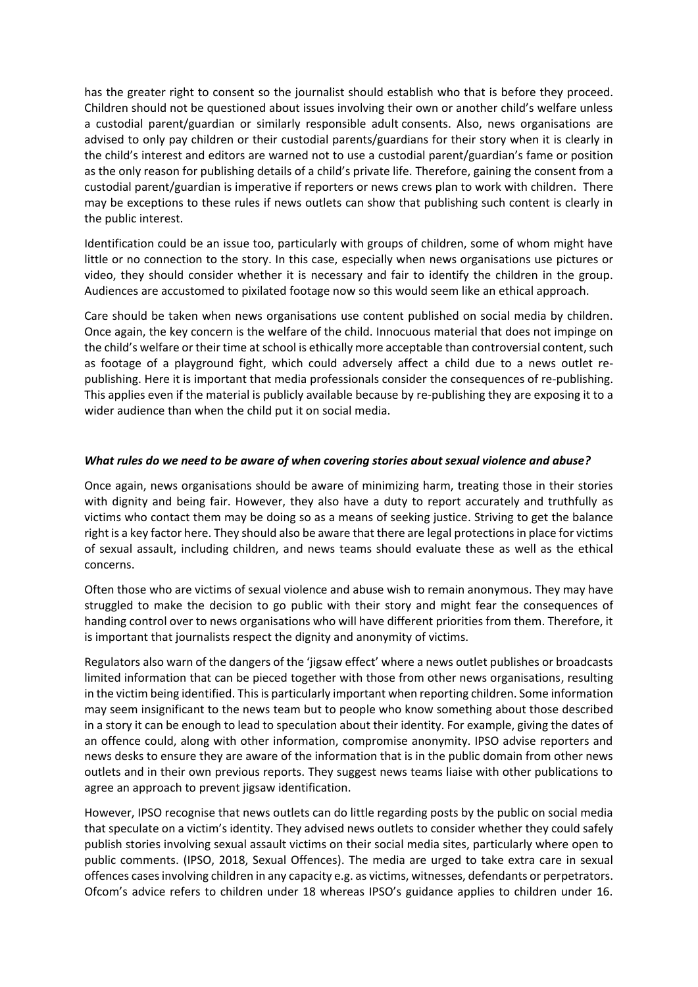has the greater right to consent so the journalist should establish who that is before they proceed. Children should not be questioned about issues involving their own or another child's welfare unless a custodial parent/guardian or similarly responsible adult consents. Also, news organisations are advised to only pay children or their custodial parents/guardians for their story when it is clearly in the child's interest and editors are warned not to use a custodial parent/guardian's fame or position as the only reason for publishing details of a child's private life. Therefore, gaining the consent from a custodial parent/guardian is imperative if reporters or news crews plan to work with children. There may be exceptions to these rules if news outlets can show that publishing such content is clearly in the public interest.

Identification could be an issue too, particularly with groups of children, some of whom might have little or no connection to the story. In this case, especially when news organisations use pictures or video, they should consider whether it is necessary and fair to identify the children in the group. Audiences are accustomed to pixilated footage now so this would seem like an ethical approach.

Care should be taken when news organisations use content published on social media by children. Once again, the key concern is the welfare of the child. Innocuous material that does not impinge on the child's welfare or their time at school is ethically more acceptable than controversial content, such as footage of a playground fight, which could adversely affect a child due to a news outlet republishing. Here it is important that media professionals consider the consequences of re-publishing. This applies even if the material is publicly available because by re-publishing they are exposing it to a wider audience than when the child put it on social media.

### *What rules do we need to be aware of when covering stories about sexual violence and abuse?*

Once again, news organisations should be aware of minimizing harm, treating those in their stories with dignity and being fair. However, they also have a duty to report accurately and truthfully as victims who contact them may be doing so as a means of seeking justice. Striving to get the balance right is a key factor here. They should also be aware that there are legal protections in place for victims of sexual assault, including children, and news teams should evaluate these as well as the ethical concerns.

Often those who are victims of sexual violence and abuse wish to remain anonymous. They may have struggled to make the decision to go public with their story and might fear the consequences of handing control over to news organisations who will have different priorities from them. Therefore, it is important that journalists respect the dignity and anonymity of victims.

Regulators also warn of the dangers of the 'jigsaw effect' where a news outlet publishes or broadcasts limited information that can be pieced together with those from other news organisations, resulting in the victim being identified. This is particularly important when reporting children. Some information may seem insignificant to the news team but to people who know something about those described in a story it can be enough to lead to speculation about their identity. For example, giving the dates of an offence could, along with other information, compromise anonymity. IPSO advise reporters and news desks to ensure they are aware of the information that is in the public domain from other news outlets and in their own previous reports. They suggest news teams liaise with other publications to agree an approach to prevent jigsaw identification.

However, IPSO recognise that news outlets can do little regarding posts by the public on social media that speculate on a victim's identity. They advised news outlets to consider whether they could safely publish stories involving sexual assault victims on their social media sites, particularly where open to public comments. (IPSO, 2018, Sexual Offences). The media are urged to take extra care in sexual offences cases involving children in any capacity e.g. as victims, witnesses, defendants or perpetrators. Ofcom's advice refers to children under 18 whereas IPSO's guidance applies to children under 16.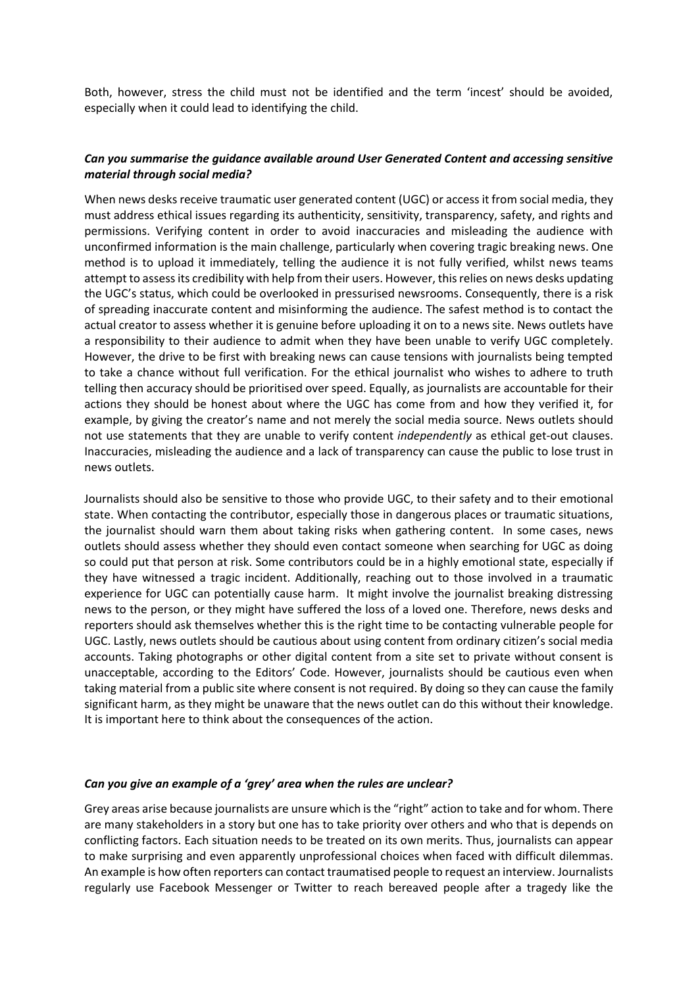Both, however, stress the child must not be identified and the term 'incest' should be avoided, especially when it could lead to identifying the child.

## *Can you summarise the guidance available around User Generated Content and accessing sensitive material through social media?*

When news desks receive traumatic user generated content (UGC) or access it from social media, they must address ethical issues regarding its authenticity, sensitivity, transparency, safety, and rights and permissions. Verifying content in order to avoid inaccuracies and misleading the audience with unconfirmed information is the main challenge, particularly when covering tragic breaking news. One method is to upload it immediately, telling the audience it is not fully verified, whilst news teams attempt to assess its credibility with help from their users. However, this relies on news desks updating the UGC's status, which could be overlooked in pressurised newsrooms. Consequently, there is a risk of spreading inaccurate content and misinforming the audience. The safest method is to contact the actual creator to assess whether it is genuine before uploading it on to a news site. News outlets have a responsibility to their audience to admit when they have been unable to verify UGC completely. However, the drive to be first with breaking news can cause tensions with journalists being tempted to take a chance without full verification. For the ethical journalist who wishes to adhere to truth telling then accuracy should be prioritised over speed. Equally, as journalists are accountable for their actions they should be honest about where the UGC has come from and how they verified it, for example, by giving the creator's name and not merely the social media source. News outlets should not use statements that they are unable to verify content *independently* as ethical get-out clauses. Inaccuracies, misleading the audience and a lack of transparency can cause the public to lose trust in news outlets.

Journalists should also be sensitive to those who provide UGC, to their safety and to their emotional state. When contacting the contributor, especially those in dangerous places or traumatic situations, the journalist should warn them about taking risks when gathering content. In some cases, news outlets should assess whether they should even contact someone when searching for UGC as doing so could put that person at risk. Some contributors could be in a highly emotional state, especially if they have witnessed a tragic incident. Additionally, reaching out to those involved in a traumatic experience for UGC can potentially cause harm. It might involve the journalist breaking distressing news to the person, or they might have suffered the loss of a loved one. Therefore, news desks and reporters should ask themselves whether this is the right time to be contacting vulnerable people for UGC. Lastly, news outlets should be cautious about using content from ordinary citizen's social media accounts. Taking photographs or other digital content from a site set to private without consent is unacceptable, according to the Editors' Code. However, journalists should be cautious even when taking material from a public site where consent is not required. By doing so they can cause the family significant harm, as they might be unaware that the news outlet can do this without their knowledge. It is important here to think about the consequences of the action.

## *Can you give an example of a 'grey' area when the rules are unclear?*

Grey areas arise because journalists are unsure which is the "right" action to take and for whom. There are many stakeholders in a story but one has to take priority over others and who that is depends on conflicting factors. Each situation needs to be treated on its own merits. Thus, journalists can appear to make surprising and even apparently unprofessional choices when faced with difficult dilemmas. An example is how often reporters can contact traumatised people to request an interview. Journalists regularly use Facebook Messenger or Twitter to reach bereaved people after a tragedy like the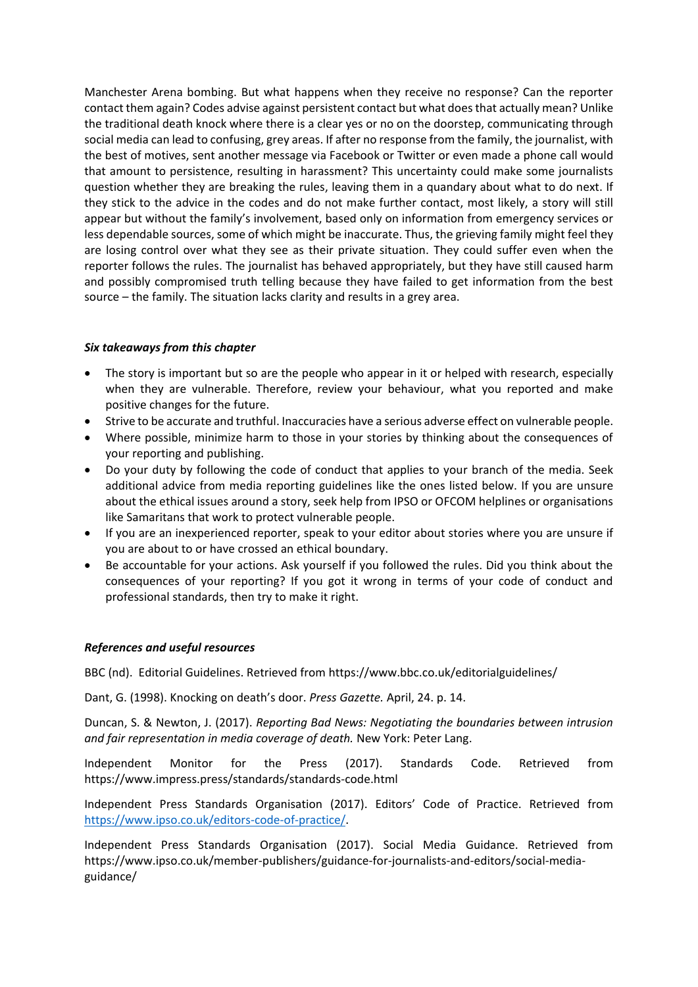Manchester Arena bombing. But what happens when they receive no response? Can the reporter contact them again? Codes advise against persistent contact but what does that actually mean? Unlike the traditional death knock where there is a clear yes or no on the doorstep, communicating through social media can lead to confusing, grey areas. If after no response from the family, the journalist, with the best of motives, sent another message via Facebook or Twitter or even made a phone call would that amount to persistence, resulting in harassment? This uncertainty could make some journalists question whether they are breaking the rules, leaving them in a quandary about what to do next. If they stick to the advice in the codes and do not make further contact, most likely, a story will still appear but without the family's involvement, based only on information from emergency services or less dependable sources, some of which might be inaccurate. Thus, the grieving family might feel they are losing control over what they see as their private situation. They could suffer even when the reporter follows the rules. The journalist has behaved appropriately, but they have still caused harm and possibly compromised truth telling because they have failed to get information from the best source – the family. The situation lacks clarity and results in a grey area.

## *Six takeaways from this chapter*

- The story is important but so are the people who appear in it or helped with research, especially when they are vulnerable. Therefore, review your behaviour, what you reported and make positive changes for the future.
- Strive to be accurate and truthful. Inaccuracies have a serious adverse effect on vulnerable people.
- Where possible, minimize harm to those in your stories by thinking about the consequences of your reporting and publishing.
- Do your duty by following the code of conduct that applies to your branch of the media. Seek additional advice from media reporting guidelines like the ones listed below. If you are unsure about the ethical issues around a story, seek help from IPSO or OFCOM helplines or organisations like Samaritans that work to protect vulnerable people.
- If you are an inexperienced reporter, speak to your editor about stories where you are unsure if you are about to or have crossed an ethical boundary.
- Be accountable for your actions. Ask yourself if you followed the rules. Did you think about the consequences of your reporting? If you got it wrong in terms of your code of conduct and professional standards, then try to make it right.

## *References and useful resources*

BBC (nd). Editorial Guidelines. Retrieved from https://www.bbc.co.uk/editorialguidelines/

Dant, G. (1998). Knocking on death's door. *Press Gazette.* April, 24. p. 14.

Duncan, S. & Newton, J. (2017). *Reporting Bad News: Negotiating the boundaries between intrusion and fair representation in media coverage of death.* New York: Peter Lang.

Independent Monitor for the Press (2017). Standards Code. Retrieved from https://www.impress.press/standards/standards-code.html

Independent Press Standards Organisation (2017). Editors' Code of Practice. Retrieved from [https://www.ipso.co.uk/editors-code-of-practice/.](https://www.ipso.co.uk/editors-code-of-practice/)

Independent Press Standards Organisation (2017). Social Media Guidance. Retrieved from https://www.ipso.co.uk/member-publishers/guidance-for-journalists-and-editors/social-mediaguidance/